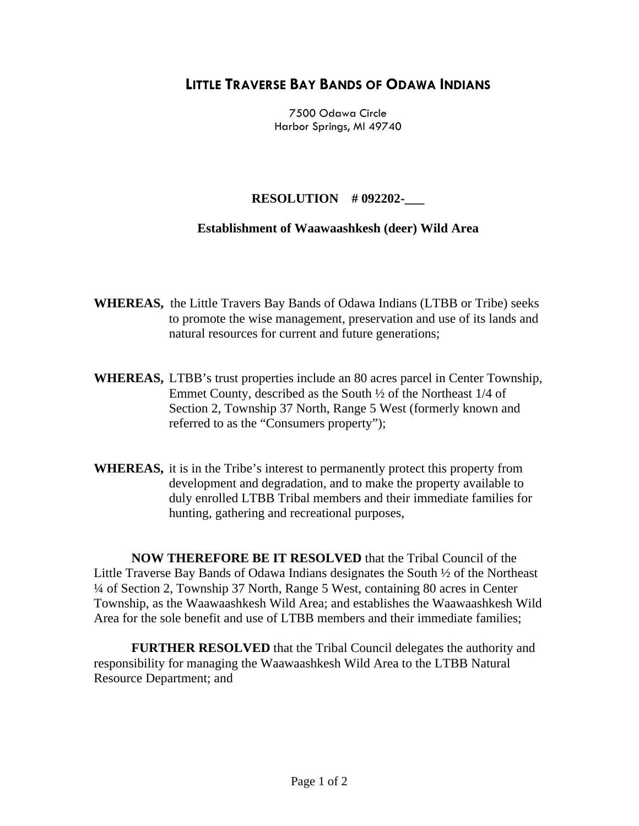## **LITTLE TRAVERSE BAY BANDS OF ODAWA INDIANS**

7500 Odawa Circle Harbor Springs, MI 49740

## **RESOLUTION # 092202-\_\_\_**

## **Establishment of Waawaashkesh (deer) Wild Area**

- **WHEREAS,** the Little Travers Bay Bands of Odawa Indians (LTBB or Tribe) seeks to promote the wise management, preservation and use of its lands and natural resources for current and future generations;
- **WHEREAS,** LTBB's trust properties include an 80 acres parcel in Center Township, Emmet County, described as the South ½ of the Northeast 1/4 of Section 2, Township 37 North, Range 5 West (formerly known and referred to as the "Consumers property");
- **WHEREAS,** it is in the Tribe's interest to permanently protect this property from development and degradation, and to make the property available to duly enrolled LTBB Tribal members and their immediate families for hunting, gathering and recreational purposes,

**NOW THEREFORE BE IT RESOLVED** that the Tribal Council of the Little Traverse Bay Bands of Odawa Indians designates the South ½ of the Northeast ¼ of Section 2, Township 37 North, Range 5 West, containing 80 acres in Center Township, as the Waawaashkesh Wild Area; and establishes the Waawaashkesh Wild Area for the sole benefit and use of LTBB members and their immediate families;

**FURTHER RESOLVED** that the Tribal Council delegates the authority and responsibility for managing the Waawaashkesh Wild Area to the LTBB Natural Resource Department; and